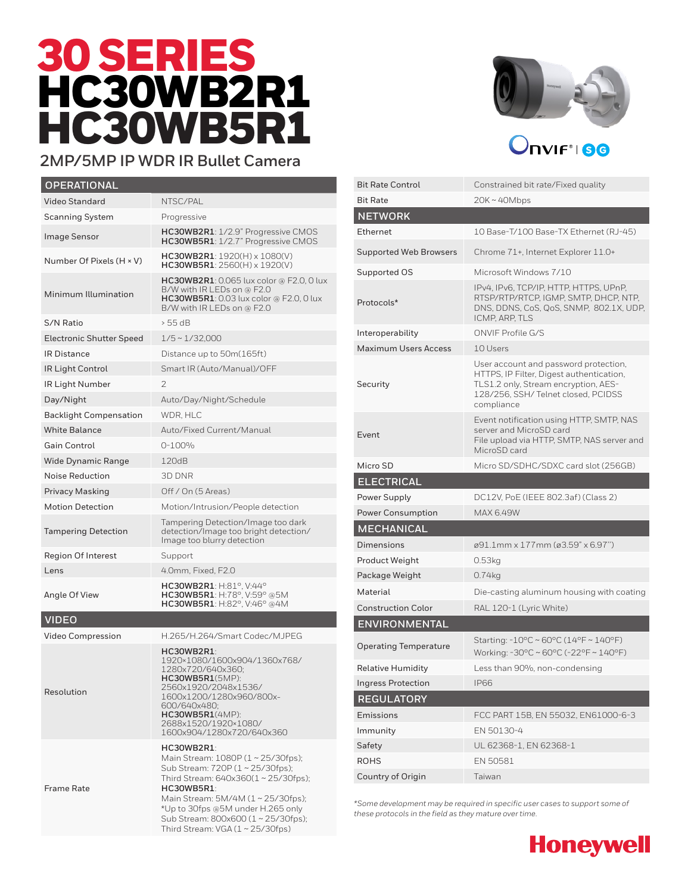# 30 SERIES **HC30WB2R1** HC30WB5R1



### **2MP/5MP IP WDR IR Bullet Camera**

| <b>OPERATIONAL</b>              |                                                                                                                                                                                                                                                                                              |
|---------------------------------|----------------------------------------------------------------------------------------------------------------------------------------------------------------------------------------------------------------------------------------------------------------------------------------------|
| <b>Video Standard</b>           | NTSC/PAL                                                                                                                                                                                                                                                                                     |
| <b>Scanning System</b>          | Progressive                                                                                                                                                                                                                                                                                  |
| Image Sensor                    | HC30WB2R1: 1/2.9" Progressive CMOS<br><b>HC30WB5R1</b> : 1/2.7" Progressive CMOS                                                                                                                                                                                                             |
| Number Of Pixels (H × V)        | $HC30WB2R1:1920(H) \times 1080(V)$<br>$HC30WB5R1: 2560(H) \times 1920(V)$                                                                                                                                                                                                                    |
| Minimum Illumination            | <b>HC30WB2R1</b> : 0.065 lux color @ F2.0, 0 lux<br>B/W with IR LEDs on @ F2.0<br>HC30WB5R1: 0.03 lux color @ F2.0, 0 lux<br>B/W with IR LEDs on @ F2.0                                                                                                                                      |
| S/N Ratio                       | > 55 dB                                                                                                                                                                                                                                                                                      |
| <b>Electronic Shutter Speed</b> | $1/5 \sim 1/32,000$                                                                                                                                                                                                                                                                          |
| IR Distance                     | Distance up to 50m(165ft)                                                                                                                                                                                                                                                                    |
| IR Light Control                | Smart IR (Auto/Manual)/OFF                                                                                                                                                                                                                                                                   |
| IR Light Number                 | 2                                                                                                                                                                                                                                                                                            |
| Day/Night                       | Auto/Day/Night/Schedule                                                                                                                                                                                                                                                                      |
| <b>Backlight Compensation</b>   | WDR, HLC                                                                                                                                                                                                                                                                                     |
| <b>White Balance</b>            | Auto/Fixed Current/Manual                                                                                                                                                                                                                                                                    |
| <b>Gain Control</b>             | $0 - 100%$                                                                                                                                                                                                                                                                                   |
| Wide Dynamic Range              | 120dB                                                                                                                                                                                                                                                                                        |
| Noise Reduction                 | 3D DNR                                                                                                                                                                                                                                                                                       |
| Privacy Masking                 | Off / On (5 Areas)                                                                                                                                                                                                                                                                           |
| <b>Motion Detection</b>         | Motion/Intrusion/People detection                                                                                                                                                                                                                                                            |
| <b>Tampering Detection</b>      | Tampering Detection/Image too dark<br>detection/Image too bright detection/<br>Image too blurry detection                                                                                                                                                                                    |
| <b>Region Of Interest</b>       | Support                                                                                                                                                                                                                                                                                      |
| Lens                            | 4.0mm, Fixed, F2.0                                                                                                                                                                                                                                                                           |
| Angle Of View                   | HC30WB2R1: H:81°, V:44°<br><b>HC30WB5R1</b> : H:78°, V:59° @5M<br>HC30WB5R1: H:82°, V:46° @4M                                                                                                                                                                                                |
| <b>VIDEO</b>                    |                                                                                                                                                                                                                                                                                              |
| <b>Video Compression</b>        | H.265/H.264/Smart Codec/MJPEG                                                                                                                                                                                                                                                                |
| Resolution                      | HC30WB2R1:<br>1920×1080/1600x904/1360x768/<br>1280x720/640x360;<br><b>HC30WB5R1</b> (5MP):<br>2560x1920/2048x1536/<br>1600x1200/1280x960/800x-<br>600/640x480;<br><b>HC30WB5R1</b> (4MP):<br>2688x1520/1920×1080/<br>1600x904/1280x720/640x360                                               |
| <b>Frame Rate</b>               | HC30WB2R1:<br>Main Stream: 1080P (1 ~ 25/30fps);<br>Sub Stream: 720P (1~25/30fps);<br>Third Stream: 640x360(1~25/30fps);<br>HC30WB5R1:<br>Main Stream: 5M/4M (1~25/30fps);<br>*Up to 30fps @5M under H.265 only<br>Sub Stream: 800x600 (1 ~ 25/30fps);<br>Third Stream: $VGA (1 ~ 25/30fps)$ |

| <b>Bit Rate Control</b>       | Constrained bit rate/Fixed quality                                                                                                                                            |  |
|-------------------------------|-------------------------------------------------------------------------------------------------------------------------------------------------------------------------------|--|
| <b>Bit Rate</b>               | $20K - 40Mbps$                                                                                                                                                                |  |
| <b>NETWORK</b>                |                                                                                                                                                                               |  |
| Ethernet                      | 10 Base-T/100 Base-TX Ethernet (RJ-45)                                                                                                                                        |  |
| <b>Supported Web Browsers</b> | Chrome 71+, Internet Explorer 11.0+                                                                                                                                           |  |
| Supported OS                  | Microsoft Windows 7/10                                                                                                                                                        |  |
| Protocols*                    | IPv4, IPv6, TCP/IP, HTTP, HTTPS, UPnP,<br>RTSP/RTP/RTCP, IGMP, SMTP, DHCP, NTP,<br>DNS, DDNS, CoS, QoS, SNMP, 802.1X, UDP,<br>ICMP, ARP, TLS                                  |  |
| Interoperability              | ONVIF Profile G/S                                                                                                                                                             |  |
| <b>Maximum Users Access</b>   | 10 Users                                                                                                                                                                      |  |
| Security                      | User account and password protection,<br>HTTPS, IP Filter, Digest authentication,<br>TLS1.2 only, Stream encryption, AES-<br>128/256, SSH/Telnet closed, PCIDSS<br>compliance |  |
| Event                         | Event notification using HTTP, SMTP, NAS<br>server and MicroSD card<br>File upload via HTTP, SMTP, NAS server and<br>MicroSD card                                             |  |
| Micro SD                      | Micro SD/SDHC/SDXC card slot (256GB)                                                                                                                                          |  |
|                               |                                                                                                                                                                               |  |
| <b>ELECTRICAL</b>             |                                                                                                                                                                               |  |
| Power Supply                  | DC12V, PoE (IEEE 802.3af) (Class 2)                                                                                                                                           |  |
| <b>Power Consumption</b>      | MAX 6.49W                                                                                                                                                                     |  |
| <b>MECHANICAL</b>             |                                                                                                                                                                               |  |
| <b>Dimensions</b>             | ø91.1mm x 177mm (ø3.59" x 6.97")                                                                                                                                              |  |
| Product Weight                | 0.53kg                                                                                                                                                                        |  |
| Package Weight                | 0.74kg                                                                                                                                                                        |  |
| Material                      | Die-casting aluminum housing with coating                                                                                                                                     |  |
| <b>Construction Color</b>     | RAL 120-1 (Lyric White)                                                                                                                                                       |  |
| <b>ENVIRONMENTAL</b>          |                                                                                                                                                                               |  |
| <b>Operating Temperature</b>  | Starting: -10°C ~ 60°C (14°F ~ 140°F)<br>Working: -30°C ~ 60°C (-22°F ~ 140°F)                                                                                                |  |
| <b>Relative Humidity</b>      | Less than 90%, non-condensing                                                                                                                                                 |  |
| <b>Ingress Protection</b>     | <b>IP66</b>                                                                                                                                                                   |  |
| <b>REGULATORY</b>             |                                                                                                                                                                               |  |
| Emissions                     | FCC PART 15B, EN 55032, EN61000-6-3                                                                                                                                           |  |
| Immunity                      | EN 50130-4                                                                                                                                                                    |  |
| Safety                        | UL 62368-1, EN 62368-1                                                                                                                                                        |  |
| <b>ROHS</b>                   | EN 50581                                                                                                                                                                      |  |

*\*Some development may be required in specific user cases to support some of these protocols in the field as they mature over time.*